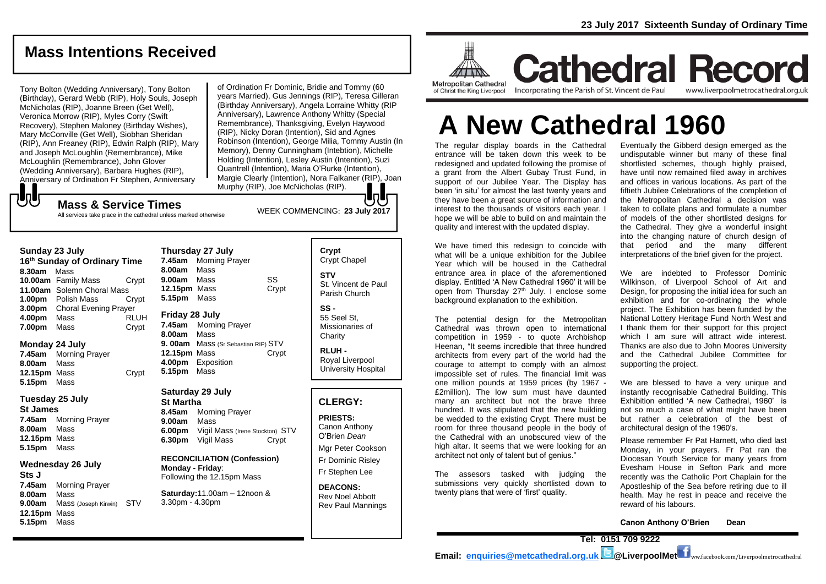# **Mass Intentions Received**

Tony Bolton (Wedding Anniversary), Tony Bolton (Birthday), Gerard Webb (RIP), Holy Souls, Joseph McNicholas (RIP), Joanne Breen (Get Well), Veronica Morrow (RIP), Myles Corry (Swift Recovery), Stephen Maloney (Birthday Wishes), Mary McConville (Get Well), Siobhan Sheridan (RIP), Ann Freaney (RIP), Edwin Ralph (RIP), Mary and Joseph McLoughlin (Remembrance), Mike McLoughlin (Remembrance), John Glover (Wedding Anniversary), Barbara Hughes (RIP), Anniversary of Ordination Fr Stephen, Anniversary

Mass & Service Times<br>
WEEK COMMENCING: 23 July 2017 of Ordination Fr Dominic, Bridie and Tommy (60 years Married), Gus Jennings (RIP), Teresa Gilleran (Birthday Anniversary), Angela Lorraine Whitty (RIP Anniversary), Lawrence Anthony Whitty (Special Remembrance), Thanksgiving, Evelyn Haywood (RIP), Nicky Doran (Intention), Sid and Agnes Robinson (Intention), George Milia, Tommy Austin (In Memory), Denny Cunningham (Intebtion), Michelle Holding (Intention), Lesley Austin (Intention), Suzi Quantrell (Intention), Maria O'Rurke (Intention), Margie Clearly (Intention), Nora Falkaner (RIP), Joan Murphy (RIP), Joe McNicholas (RIP).

# もし

All services take place in the cathedral unless marked otherwise

#### **Sunday 23 July**

**16th Sunday of Ordinary Time 8.30am** Mass **10.00am** Family Mass Crypt **11.00am** Solemn Choral Mass **1.00pm** Polish Mass Crypt **3.00pm** Choral Evening Prayer **4.00pm** Mass RLUH **7.00pm** Mass Crypt

#### **Monday 24 July**

**7.45am** Morning Prayer **8.00am** Mass **12.15pm** Mass Crypt **5.15pm** Mass

#### **Tuesday 25 July**

**St James 7.45am** Morning Prayer **8.00am** Mass **12.15pm** Mass **5.15pm** Mass

#### **Wednesday 26 July**

**Sts J 7.45am** Morning Prayer **8.00am** Mass **9.00am** Mass (Joseph Kirwin) STV **12.15pm** Mass **5.15pm** Mass

**Thursday 27 July 7.45am** Morning Prayer **8.00am** Mass **9.00am** Mass SS **12.15pm** Mass Crypt **5.15pm** Mass

## **Friday 28 July**

**7.45am** Morning Prayer **8.00am** Mass **9. 00am** Mass (Sr Sebastian RIP) STV **12.15pm** Mass Crypt **4.00pm** Exposition **5.15pm** Mass

## **Saturday 29 July**

**St Martha 8.45am** Morning Prayer **9.00am** Mass **6.00pm** Vigil Mass (Irene Stockton) STV **6.30pm** Vigil Mass Crypt

#### **RECONCILIATION (Confession) Monday - Friday**: Following the 12.15pm Mass

**Saturday:**11.00am – 12noon & 3.30pm - 4.30pm

### **Crypt**  Crypt Chapel **STV** St. Vincent de Paul Parish Church

**SS -** 55 Seel St, Missionaries of **Charity** 

**RLUH -** Royal Liverpool University Hospital

## **CLERGY:**

**PRIESTS:** Canon Anthony O'Brien *Dean*

Mgr Peter Cookson Fr Dominic Risley Fr Stephen Lee

**DEACONS:** Rev Noel Abbott Rev Paul Mannings



**Cathedral Record** Incorporating the Parish of St. Vincent de Paul www.liverpoolmetrocathedral.org.uk

**A New Cathedral 1960**

The regular display boards in the Cathedral entrance will be taken down this week to be redesigned and updated following the promise of a grant from the Albert Gubay Trust Fund, in support of our Jubilee Year. The Display has been 'in situ' for almost the last twenty years and they have been a great source of information and interest to the thousands of visitors each year. I hope we will be able to build on and maintain the quality and interest with the updated display.

We have timed this redesign to coincide with what will be a unique exhibition for the Jubilee Year which will be housed in the Cathedral entrance area in place of the aforementioned display. Entitled 'A New Cathedral 1960' it will be open from Thursday 27<sup>th</sup> July. I enclose some background explanation to the exhibition.

The potential design for the Metropolitan Cathedral was thrown open to international competition in 1959 - to quote Archbishop Heenan, "It seems incredible that three hundred architects from every part of the world had the courage to attempt to comply with an almost impossible set of rules. The financial limit was one million pounds at 1959 prices (by 1967 - £2million). The low sum must have daunted many an architect but not the brave three hundred. It was stipulated that the new building be wedded to the existing Crypt. There must be room for three thousand people in the body of the Cathedral with an unobscured view of the high altar. It seems that we were looking for an architect not only of talent but of genius."

The assesors tasked with judging the submissions very quickly shortlisted down to twenty plans that were of 'first' quality.

Eventually the Gibberd design emerged as the undisputable winner but many of these final shortlisted schemes, though highly praised, have until now remained filed away in archives and offices in various locations. As part of the fiftieth Jubilee Celebrations of the completion of the Metropolitan Cathedral a decision was taken to collate plans and formulate a number of models of the other shortlisted designs for the Cathedral. They give a wonderful insight into the changing nature of church design of that period and the many different interpretations of the brief given for the project.

We are indebted to Professor Dominic Wilkinson, of Liverpool School of Art and Design, for proposing the initial idea for such an exhibition and for co-ordinating the whole project. The Exhibition has been funded by the National Lottery Heritage Fund North West and I thank them for their support for this project which I am sure will attract wide interest. Thanks are also due to John Moores University and the Cathedral Jubilee Committee for supporting the project.

We are blessed to have a very unique and instantly recognisable Cathedral Building. This Exhibition entitled 'A new Cathedral, 1960' is not so much a case of what might have been but rather a celebration of the best of architectural design of the 1960's.

Please remember Fr Pat Harnett, who died last Monday, in your prayers. Fr Pat ran the Diocesan Youth Service for many years from Evesham House in Sefton Park and more recently was the Catholic Port Chaplain for the Apostleship of the Sea before retiring due to ill health. May he rest in peace and receive the reward of his labours.

**Canon Anthony O'Brien Dean**

**Tel: 0151 709 9222 Email: [enquiries@metcathedral.org.uk](mailto:enquiries@metcathedral.org.uk) @LiverpoolMet** ww.facebook.com/Liverpoolmetrocathedral